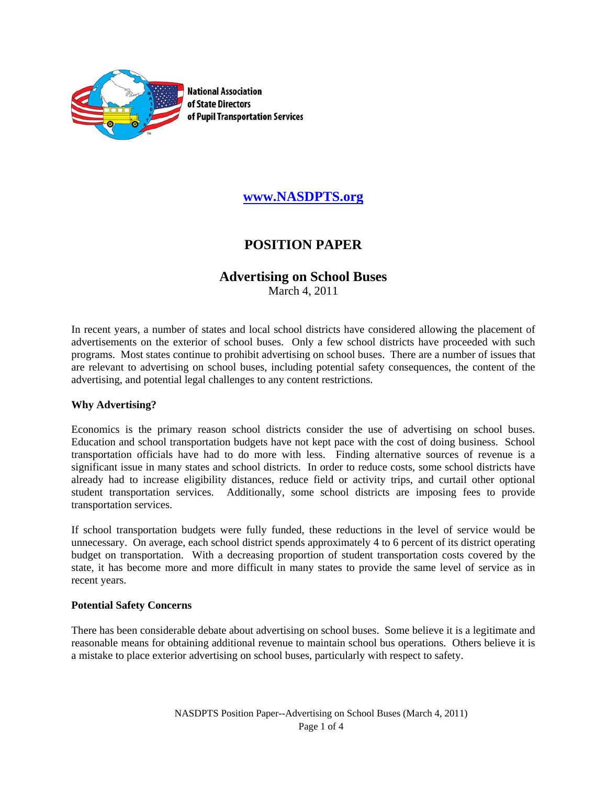

**National Association** of State Directors of Pupil Transportation Services

## **www.NASDPTS.org**

# **POSITION PAPER**

## **Advertising on School Buses**

March 4, 2011

In recent years, a number of states and local school districts have considered allowing the placement of advertisements on the exterior of school buses. Only a few school districts have proceeded with such programs. Most states continue to prohibit advertising on school buses. There are a number of issues that are relevant to advertising on school buses, including potential safety consequences, the content of the advertising, and potential legal challenges to any content restrictions.

#### **Why Advertising?**

Economics is the primary reason school districts consider the use of advertising on school buses. Education and school transportation budgets have not kept pace with the cost of doing business. School transportation officials have had to do more with less. Finding alternative sources of revenue is a significant issue in many states and school districts. In order to reduce costs, some school districts have already had to increase eligibility distances, reduce field or activity trips, and curtail other optional student transportation services. Additionally, some school districts are imposing fees to provide transportation services.

If school transportation budgets were fully funded, these reductions in the level of service would be unnecessary. On average, each school district spends approximately 4 to 6 percent of its district operating budget on transportation. With a decreasing proportion of student transportation costs covered by the state, it has become more and more difficult in many states to provide the same level of service as in recent years.

#### **Potential Safety Concerns**

There has been considerable debate about advertising on school buses. Some believe it is a legitimate and reasonable means for obtaining additional revenue to maintain school bus operations. Others believe it is a mistake to place exterior advertising on school buses, particularly with respect to safety.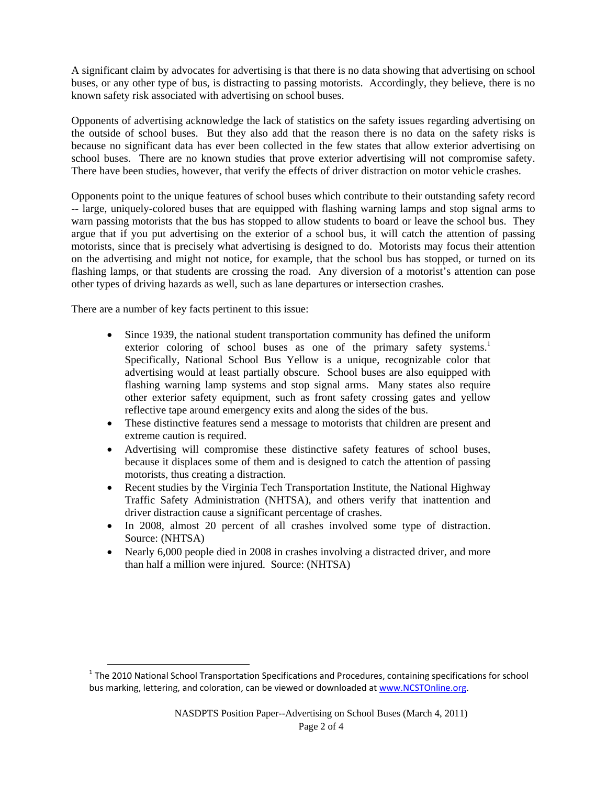A significant claim by advocates for advertising is that there is no data showing that advertising on school buses, or any other type of bus, is distracting to passing motorists. Accordingly, they believe, there is no known safety risk associated with advertising on school buses.

Opponents of advertising acknowledge the lack of statistics on the safety issues regarding advertising on the outside of school buses. But they also add that the reason there is no data on the safety risks is because no significant data has ever been collected in the few states that allow exterior advertising on school buses. There are no known studies that prove exterior advertising will not compromise safety. There have been studies, however, that verify the effects of driver distraction on motor vehicle crashes.

Opponents point to the unique features of school buses which contribute to their outstanding safety record -- large, uniquely-colored buses that are equipped with flashing warning lamps and stop signal arms to warn passing motorists that the bus has stopped to allow students to board or leave the school bus. They argue that if you put advertising on the exterior of a school bus, it will catch the attention of passing motorists, since that is precisely what advertising is designed to do. Motorists may focus their attention on the advertising and might not notice, for example, that the school bus has stopped, or turned on its flashing lamps, or that students are crossing the road. Any diversion of a motorist's attention can pose other types of driving hazards as well, such as lane departures or intersection crashes.

There are a number of key facts pertinent to this issue:

- Since 1939, the national student transportation community has defined the uniform exterior coloring of school buses as one of the primary safety systems.<sup>1</sup> Specifically, National School Bus Yellow is a unique, recognizable color that advertising would at least partially obscure. School buses are also equipped with flashing warning lamp systems and stop signal arms. Many states also require other exterior safety equipment, such as front safety crossing gates and yellow reflective tape around emergency exits and along the sides of the bus.
- These distinctive features send a message to motorists that children are present and extreme caution is required.
- Advertising will compromise these distinctive safety features of school buses, because it displaces some of them and is designed to catch the attention of passing motorists, thus creating a distraction.
- Recent studies by the Virginia Tech Transportation Institute, the National Highway Traffic Safety Administration (NHTSA), and others verify that inattention and driver distraction cause a significant percentage of crashes.
- In 2008, almost 20 percent of all crashes involved some type of distraction. Source: (NHTSA)
- Nearly 6,000 people died in 2008 in crashes involving a distracted driver, and more than half a million were injured. Source: (NHTSA)

 $1$  The 2010 National School Transportation Specifications and Procedures, containing specifications for school bus marking, lettering, and coloration, can be viewed or downloaded at www.NCSTOnline.org.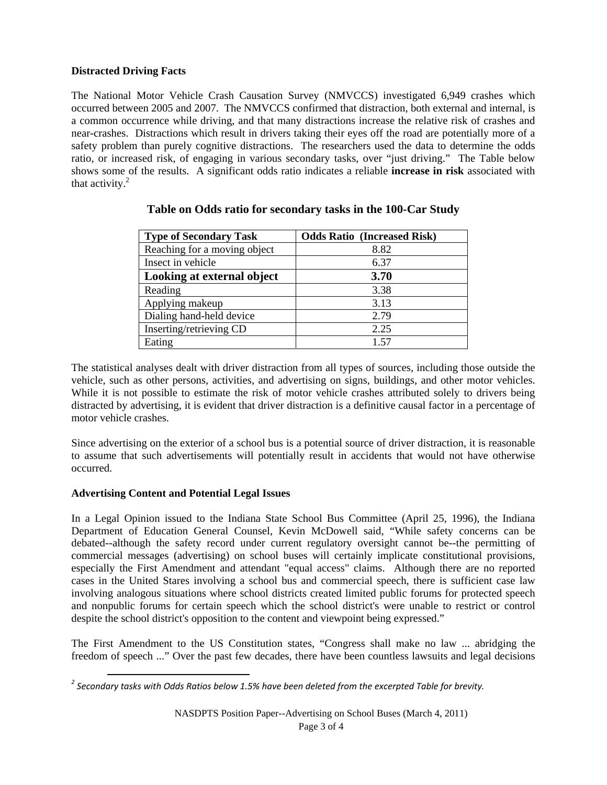### **Distracted Driving Facts**

The National Motor Vehicle Crash Causation Survey (NMVCCS) investigated 6,949 crashes which occurred between 2005 and 2007. The NMVCCS confirmed that distraction, both external and internal, is a common occurrence while driving, and that many distractions increase the relative risk of crashes and near-crashes. Distractions which result in drivers taking their eyes off the road are potentially more of a safety problem than purely cognitive distractions. The researchers used the data to determine the odds ratio, or increased risk, of engaging in various secondary tasks, over "just driving." The Table below shows some of the results. A significant odds ratio indicates a reliable **increase in risk** associated with that activity. $2$ 

| <b>Type of Secondary Task</b> | <b>Odds Ratio (Increased Risk)</b> |
|-------------------------------|------------------------------------|
| Reaching for a moving object  | 8.82                               |
| Insect in vehicle             | 6.37                               |
| Looking at external object    | 3.70                               |
| Reading                       | 3.38                               |
| Applying makeup               | 3.13                               |
| Dialing hand-held device      | 2.79                               |
| Inserting/retrieving CD       | 2.25                               |
| Eating                        | 1.57                               |

## **Table on Odds ratio for secondary tasks in the 100-Car Study**

The statistical analyses dealt with driver distraction from all types of sources, including those outside the vehicle, such as other persons, activities, and advertising on signs, buildings, and other motor vehicles. While it is not possible to estimate the risk of motor vehicle crashes attributed solely to drivers being distracted by advertising, it is evident that driver distraction is a definitive causal factor in a percentage of motor vehicle crashes.

Since advertising on the exterior of a school bus is a potential source of driver distraction, it is reasonable to assume that such advertisements will potentially result in accidents that would not have otherwise occurred.

### **Advertising Content and Potential Legal Issues**

In a Legal Opinion issued to the Indiana State School Bus Committee (April 25, 1996), the Indiana Department of Education General Counsel, Kevin McDowell said, "While safety concerns can be debated--although the safety record under current regulatory oversight cannot be--the permitting of commercial messages (advertising) on school buses will certainly implicate constitutional provisions, especially the First Amendment and attendant "equal access" claims. Although there are no reported cases in the United Stares involving a school bus and commercial speech, there is sufficient case law involving analogous situations where school districts created limited public forums for protected speech and nonpublic forums for certain speech which the school district's were unable to restrict or control despite the school district's opposition to the content and viewpoint being expressed."

The First Amendment to the US Constitution states, "Congress shall make no law ... abridging the freedom of speech ..." Over the past few decades, there have been countless lawsuits and legal decisions

 *<sup>2</sup> Secondary tasks with Odds Ratios below 1.5% have been deleted from the excerpted Table for brevity.*